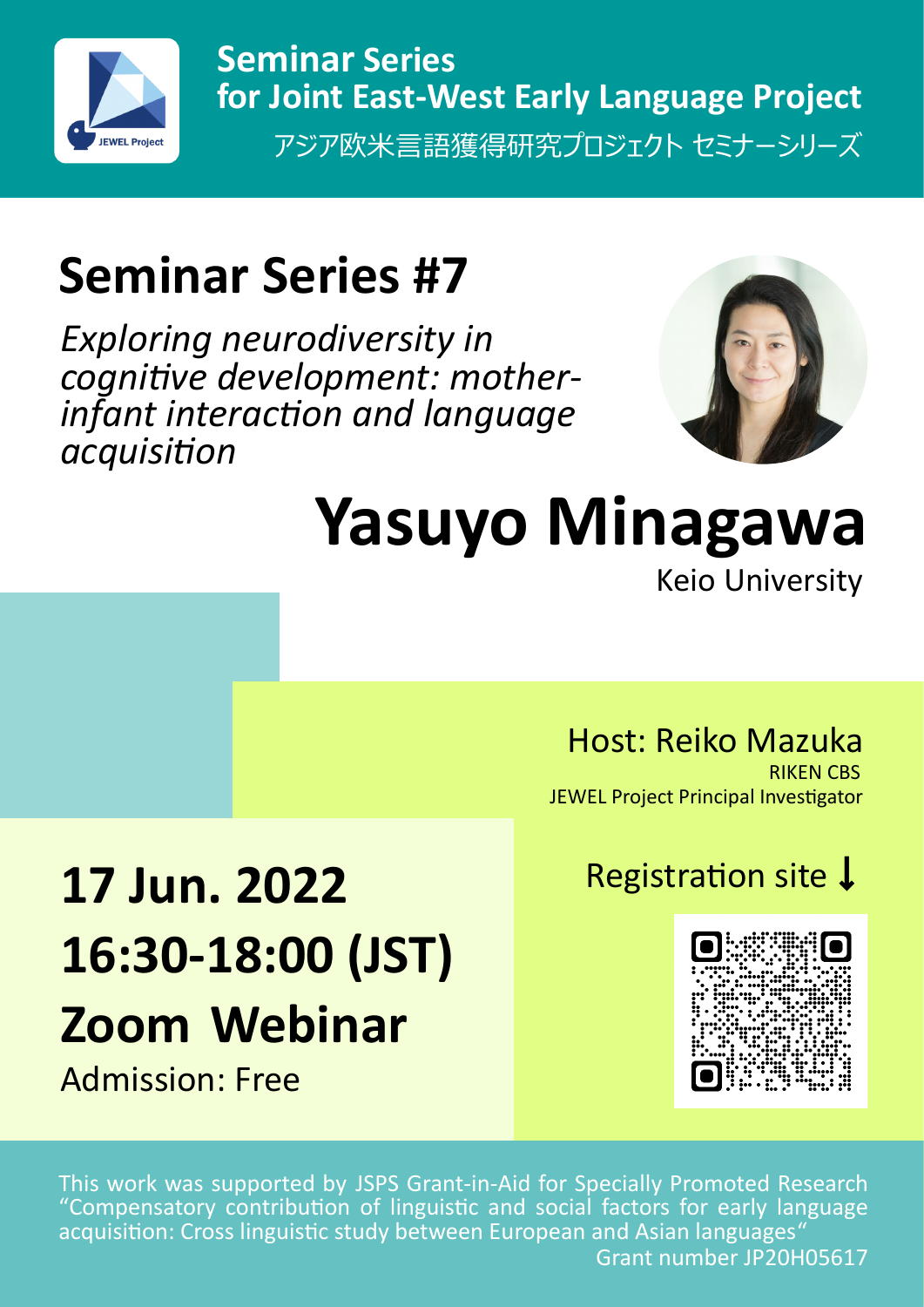

アジア欧米言語獲得研究プロジェクト セミナーシリーズ **Seminar Series for Joint East-West Early Language Project**

# **Seminar Series #7**

*Exploring neurodiversity in cognitive development: motherinfant interaction and language acquisition*



## **Yasuyo Minagawa** Keio University

Host: Reiko Mazuka

RIKEN CBS JEWEL Project Principal Investigator

# 17 Jun. 2022 Registration site ↓ **16:30-18:00 (JST) Zoom Webinar**

Admission: Free



This work was supported by JSPS Grant-in-Aid for Specially Promoted Research "Compensatory contribution of linguistic and social factors for early language acquisition: Cross linguistic study between European and Asian languages" Grant number JP20H05617